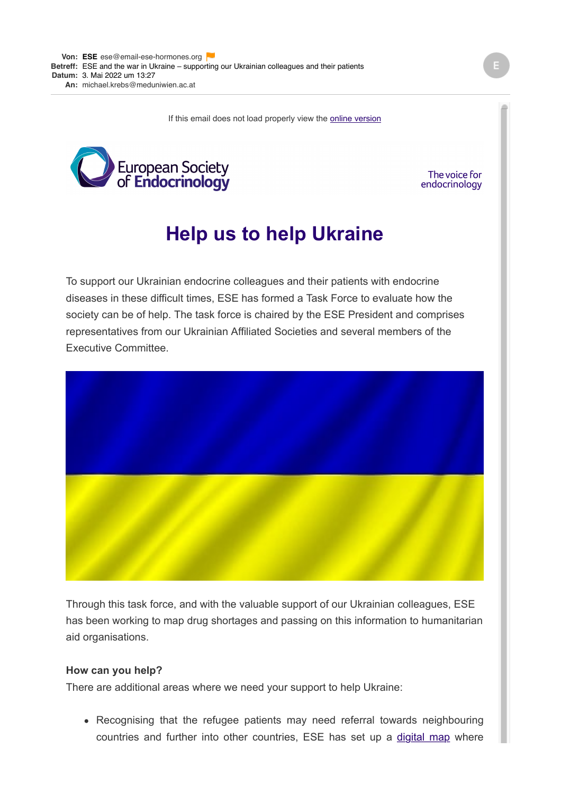If this email does not load properly view the **online version** 



## The voice for endocrinology

## **Help us to help Ukraine**

To support our Ukrainian endocrine colleagues and their patients with endocrine diseases in these difficult times, ESE has formed a Task Force to evaluate how the society can be of help. The task force is chaired by the ESE President and comprises representatives from our Ukrainian Affiliated Societies and several members of the Executive Committee.



Through this task force, and with the valuable support of our Ukrainian colleagues, ESE has been working to map drug shortages and passing on this information to humanitarian aid organisations.

## **How can you help?**

There are additional areas where we need your support to help Ukraine:

• Recognising that the refugee patients may need referral towards neighbouring countries and further into other countries, ESE has set up a [digital map](https://email-ese-hormones.org/52TW-J9BV-9XNGM-EGU13-1/c.aspx) where